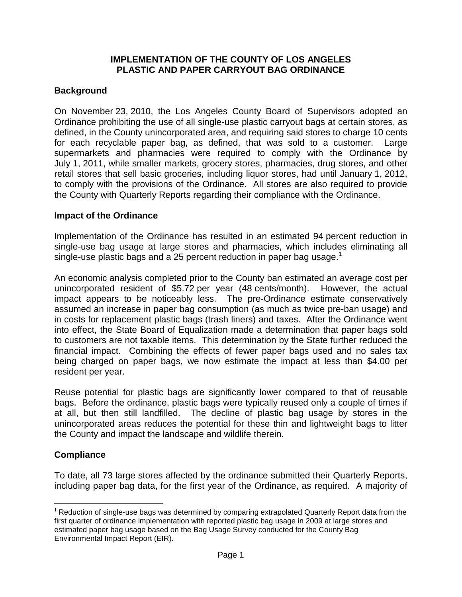#### **IMPLEMENTATION OF THE COUNTY OF LOS ANGELES PLASTIC AND PAPER CARRYOUT BAG ORDINANCE**

# **Background**

On November 23, 2010, the Los Angeles County Board of Supervisors adopted an Ordinance prohibiting the use of all single-use plastic carryout bags at certain stores, as defined, in the County unincorporated area, and requiring said stores to charge 10 cents for each recyclable paper bag, as defined, that was sold to a customer. Large supermarkets and pharmacies were required to comply with the Ordinance by July 1, 2011, while smaller markets, grocery stores, pharmacies, drug stores, and other retail stores that sell basic groceries, including liquor stores, had until January 1, 2012, to comply with the provisions of the Ordinance. All stores are also required to provide the County with Quarterly Reports regarding their compliance with the Ordinance.

## **Impact of the Ordinance**

Implementation of the Ordinance has resulted in an estimated 94 percent reduction in single-use bag usage at large stores and pharmacies, which includes eliminating all single-use plastic bags and a 25 percent reduction in paper bag usage.<sup>1</sup>

An economic analysis completed prior to the County ban estimated an average cost per unincorporated resident of \$5.72 per year (48 cents/month). However, the actual impact appears to be noticeably less. The pre-Ordinance estimate conservatively assumed an increase in paper bag consumption (as much as twice pre-ban usage) and in costs for replacement plastic bags (trash liners) and taxes. After the Ordinance went into effect, the State Board of Equalization made a determination that paper bags sold to customers are not taxable items. This determination by the State further reduced the financial impact. Combining the effects of fewer paper bags used and no sales tax being charged on paper bags, we now estimate the impact at less than \$4.00 per resident per year.

Reuse potential for plastic bags are significantly lower compared to that of reusable bags. Before the ordinance, plastic bags were typically reused only a couple of times if at all, but then still landfilled. The decline of plastic bag usage by stores in the unincorporated areas reduces the potential for these thin and lightweight bags to litter the County and impact the landscape and wildlife therein.

## **Compliance**

To date, all 73 large stores affected by the ordinance submitted their Quarterly Reports, including paper bag data, for the first year of the Ordinance, as required. A majority of

 $1$  Reduction of single-use bags was determined by comparing extrapolated Quarterly Report data from the first quarter of ordinance implementation with reported plastic bag usage in 2009 at large stores and estimated paper bag usage based on the Bag Usage Survey conducted for the County Bag Environmental Impact Report (EIR).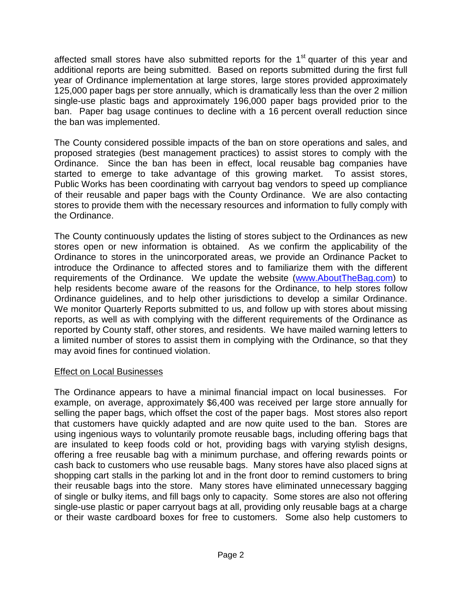affected small stores have also submitted reports for the  $1<sup>st</sup>$  quarter of this year and additional reports are being submitted. Based on reports submitted during the first full year of Ordinance implementation at large stores, large stores provided approximately 125,000 paper bags per store annually, which is dramatically less than the over 2 million single-use plastic bags and approximately 196,000 paper bags provided prior to the ban. Paper bag usage continues to decline with a 16 percent overall reduction since the ban was implemented.

The County considered possible impacts of the ban on store operations and sales, and proposed strategies (best management practices) to assist stores to comply with the Ordinance. Since the ban has been in effect, local reusable bag companies have started to emerge to take advantage of this growing market. To assist stores, Public Works has been coordinating with carryout bag vendors to speed up compliance of their reusable and paper bags with the County Ordinance. We are also contacting stores to provide them with the necessary resources and information to fully comply with the Ordinance.

The County continuously updates the listing of stores subject to the Ordinances as new stores open or new information is obtained. As we confirm the applicability of the Ordinance to stores in the unincorporated areas, we provide an Ordinance Packet to introduce the Ordinance to affected stores and to familiarize them with the different requirements of the Ordinance. We update the website (www.AboutTheBag.com) to help residents become aware of the reasons for the Ordinance, to help stores follow Ordinance guidelines, and to help other jurisdictions to develop a similar Ordinance. We monitor Quarterly Reports submitted to us, and follow up with stores about missing reports, as well as with complying with the different requirements of the Ordinance as reported by County staff, other stores, and residents. We have mailed warning letters to a limited number of stores to assist them in complying with the Ordinance, so that they may avoid fines for continued violation.

#### Effect on Local Businesses

The Ordinance appears to have a minimal financial impact on local businesses. For example, on average, approximately \$6,400 was received per large store annually for selling the paper bags, which offset the cost of the paper bags. Most stores also report that customers have quickly adapted and are now quite used to the ban. Stores are using ingenious ways to voluntarily promote reusable bags, including offering bags that are insulated to keep foods cold or hot, providing bags with varying stylish designs, offering a free reusable bag with a minimum purchase, and offering rewards points or cash back to customers who use reusable bags. Many stores have also placed signs at shopping cart stalls in the parking lot and in the front door to remind customers to bring their reusable bags into the store. Many stores have eliminated unnecessary bagging of single or bulky items, and fill bags only to capacity. Some stores are also not offering single-use plastic or paper carryout bags at all, providing only reusable bags at a charge or their waste cardboard boxes for free to customers. Some also help customers to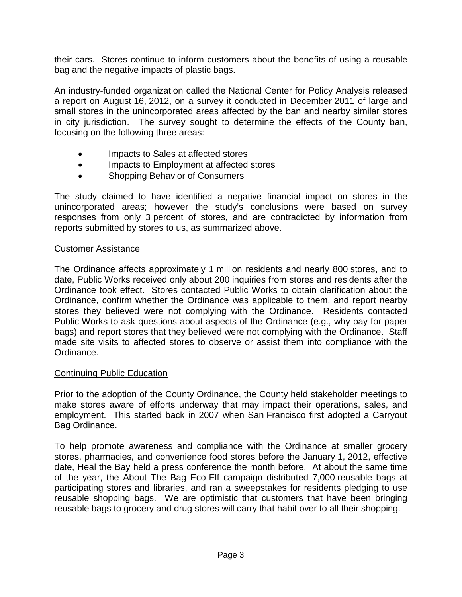their cars. Stores continue to inform customers about the benefits of using a reusable bag and the negative impacts of plastic bags.

An industry-funded organization called the National Center for Policy Analysis released a report on August 16, 2012, on a survey it conducted in December 2011 of large and small stores in the unincorporated areas affected by the ban and nearby similar stores in city jurisdiction. The survey sought to determine the effects of the County ban, focusing on the following three areas:

- Impacts to Sales at affected stores
- Impacts to Employment at affected stores
- Shopping Behavior of Consumers

The study claimed to have identified a negative financial impact on stores in the unincorporated areas; however the study's conclusions were based on survey responses from only 3 percent of stores, and are contradicted by information from reports submitted by stores to us, as summarized above.

## Customer Assistance

The Ordinance affects approximately 1 million residents and nearly 800 stores, and to date, Public Works received only about 200 inquiries from stores and residents after the Ordinance took effect. Stores contacted Public Works to obtain clarification about the Ordinance, confirm whether the Ordinance was applicable to them, and report nearby stores they believed were not complying with the Ordinance. Residents contacted Public Works to ask questions about aspects of the Ordinance (e.g., why pay for paper bags) and report stores that they believed were not complying with the Ordinance. Staff made site visits to affected stores to observe or assist them into compliance with the Ordinance.

#### Continuing Public Education

Prior to the adoption of the County Ordinance, the County held stakeholder meetings to make stores aware of efforts underway that may impact their operations, sales, and employment. This started back in 2007 when San Francisco first adopted a Carryout Bag Ordinance.

To help promote awareness and compliance with the Ordinance at smaller grocery stores, pharmacies, and convenience food stores before the January 1, 2012, effective date, Heal the Bay held a press conference the month before. At about the same time of the year, the About The Bag Eco-Elf campaign distributed 7,000 reusable bags at participating stores and libraries, and ran a sweepstakes for residents pledging to use reusable shopping bags. We are optimistic that customers that have been bringing reusable bags to grocery and drug stores will carry that habit over to all their shopping.